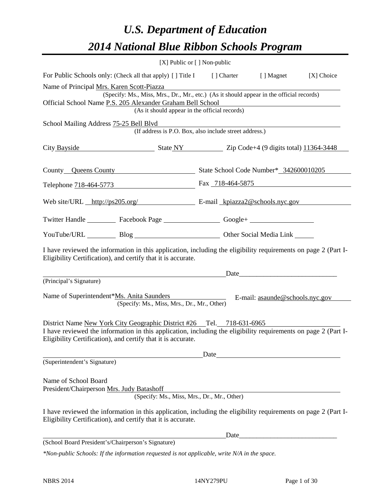# *U.S. Department of Education 2014 National Blue Ribbon Schools Program*

|                                                                                                                                                                                |                                                                                          | [X] Public or [] Non-public |                                                                                                                                                                                                                                |            |  |  |  |  |
|--------------------------------------------------------------------------------------------------------------------------------------------------------------------------------|------------------------------------------------------------------------------------------|-----------------------------|--------------------------------------------------------------------------------------------------------------------------------------------------------------------------------------------------------------------------------|------------|--|--|--|--|
| For Public Schools only: (Check all that apply) [] Title I [] Charter [] Magnet                                                                                                |                                                                                          |                             |                                                                                                                                                                                                                                | [X] Choice |  |  |  |  |
| Name of Principal Mrs. Karen Scott-Piazza                                                                                                                                      |                                                                                          |                             |                                                                                                                                                                                                                                |            |  |  |  |  |
|                                                                                                                                                                                | (Specify: Ms., Miss, Mrs., Dr., Mr., etc.) (As it should appear in the official records) |                             |                                                                                                                                                                                                                                |            |  |  |  |  |
| Official School Name P.S. 205 Alexander Graham Bell School<br>(As it should appear in the official records)                                                                    |                                                                                          |                             |                                                                                                                                                                                                                                |            |  |  |  |  |
| School Mailing Address 75-25 Bell Blvd                                                                                                                                         |                                                                                          |                             |                                                                                                                                                                                                                                |            |  |  |  |  |
|                                                                                                                                                                                | (If address is P.O. Box, also include street address.)                                   |                             |                                                                                                                                                                                                                                |            |  |  |  |  |
| City Bayside State NY Zip Code+4 (9 digits total) 11364-3448                                                                                                                   |                                                                                          |                             |                                                                                                                                                                                                                                |            |  |  |  |  |
| County Queens County State School Code Number* 342600010205                                                                                                                    |                                                                                          |                             |                                                                                                                                                                                                                                |            |  |  |  |  |
| Telephone 718-464-5773 Fax 718-464-5875                                                                                                                                        |                                                                                          |                             |                                                                                                                                                                                                                                |            |  |  |  |  |
| Web site/URL http://ps205.org/ E-mail kpiazza2@schools.nyc.gov                                                                                                                 |                                                                                          |                             |                                                                                                                                                                                                                                |            |  |  |  |  |
| Twitter Handle ___________ Facebook Page ___________________ Google+ ____________                                                                                              |                                                                                          |                             |                                                                                                                                                                                                                                |            |  |  |  |  |
| YouTube/URL Blog Blog Cher Social Media Link                                                                                                                                   |                                                                                          |                             |                                                                                                                                                                                                                                |            |  |  |  |  |
| I have reviewed the information in this application, including the eligibility requirements on page 2 (Part I-<br>Eligibility Certification), and certify that it is accurate. |                                                                                          |                             |                                                                                                                                                                                                                                |            |  |  |  |  |
|                                                                                                                                                                                |                                                                                          |                             | Date has a series of the series of the series of the series of the series of the series of the series of the series of the series of the series of the series of the series of the series of the series of the series of the s |            |  |  |  |  |
| (Principal's Signature)                                                                                                                                                        |                                                                                          |                             |                                                                                                                                                                                                                                |            |  |  |  |  |
| Name of Superintendent*Ms. Anita Saunders                                                                                                                                      | (Specify: Ms., Miss, Mrs., Dr., Mr., Other)                                              |                             | E-mail: asaunde@schools.nyc.gov                                                                                                                                                                                                |            |  |  |  |  |
| District Name New York City Geographic District #26 Tel. 718-631-6965                                                                                                          |                                                                                          |                             |                                                                                                                                                                                                                                |            |  |  |  |  |
| I have reviewed the information in this application, including the eligibility requirements on page 2 (Part I-<br>Eligibility Certification), and certify that it is accurate. |                                                                                          |                             |                                                                                                                                                                                                                                |            |  |  |  |  |
|                                                                                                                                                                                |                                                                                          | Date                        |                                                                                                                                                                                                                                |            |  |  |  |  |
| (Superintendent's Signature)                                                                                                                                                   |                                                                                          |                             |                                                                                                                                                                                                                                |            |  |  |  |  |
| Name of School Board<br>President/Chairperson Mrs. Judy Batashoff                                                                                                              |                                                                                          |                             |                                                                                                                                                                                                                                |            |  |  |  |  |
|                                                                                                                                                                                | (Specify: Ms., Miss, Mrs., Dr., Mr., Other)                                              |                             |                                                                                                                                                                                                                                |            |  |  |  |  |
| I have reviewed the information in this application, including the eligibility requirements on page 2 (Part I-<br>Eligibility Certification), and certify that it is accurate. |                                                                                          |                             |                                                                                                                                                                                                                                |            |  |  |  |  |
|                                                                                                                                                                                |                                                                                          | Date                        |                                                                                                                                                                                                                                |            |  |  |  |  |
| (School Board President's/Chairperson's Signature)                                                                                                                             |                                                                                          |                             |                                                                                                                                                                                                                                |            |  |  |  |  |
| $*$ Non-public Schools: If the information requested is not applicable, write $N/A$ in the space.                                                                              |                                                                                          |                             |                                                                                                                                                                                                                                |            |  |  |  |  |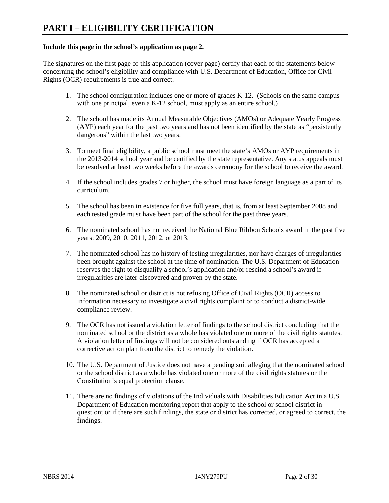#### **Include this page in the school's application as page 2.**

The signatures on the first page of this application (cover page) certify that each of the statements below concerning the school's eligibility and compliance with U.S. Department of Education, Office for Civil Rights (OCR) requirements is true and correct.

- 1. The school configuration includes one or more of grades K-12. (Schools on the same campus with one principal, even a K-12 school, must apply as an entire school.)
- 2. The school has made its Annual Measurable Objectives (AMOs) or Adequate Yearly Progress (AYP) each year for the past two years and has not been identified by the state as "persistently dangerous" within the last two years.
- 3. To meet final eligibility, a public school must meet the state's AMOs or AYP requirements in the 2013-2014 school year and be certified by the state representative. Any status appeals must be resolved at least two weeks before the awards ceremony for the school to receive the award.
- 4. If the school includes grades 7 or higher, the school must have foreign language as a part of its curriculum.
- 5. The school has been in existence for five full years, that is, from at least September 2008 and each tested grade must have been part of the school for the past three years.
- 6. The nominated school has not received the National Blue Ribbon Schools award in the past five years: 2009, 2010, 2011, 2012, or 2013.
- 7. The nominated school has no history of testing irregularities, nor have charges of irregularities been brought against the school at the time of nomination. The U.S. Department of Education reserves the right to disqualify a school's application and/or rescind a school's award if irregularities are later discovered and proven by the state.
- 8. The nominated school or district is not refusing Office of Civil Rights (OCR) access to information necessary to investigate a civil rights complaint or to conduct a district-wide compliance review.
- 9. The OCR has not issued a violation letter of findings to the school district concluding that the nominated school or the district as a whole has violated one or more of the civil rights statutes. A violation letter of findings will not be considered outstanding if OCR has accepted a corrective action plan from the district to remedy the violation.
- 10. The U.S. Department of Justice does not have a pending suit alleging that the nominated school or the school district as a whole has violated one or more of the civil rights statutes or the Constitution's equal protection clause.
- 11. There are no findings of violations of the Individuals with Disabilities Education Act in a U.S. Department of Education monitoring report that apply to the school or school district in question; or if there are such findings, the state or district has corrected, or agreed to correct, the findings.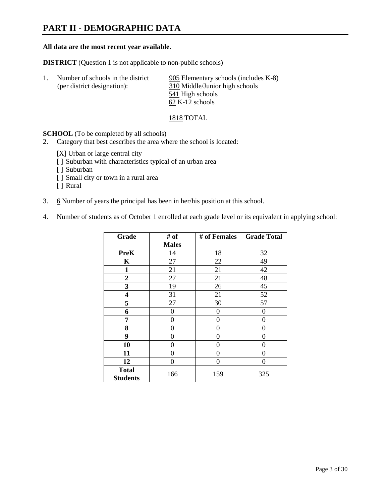# **PART II - DEMOGRAPHIC DATA**

#### **All data are the most recent year available.**

**DISTRICT** (Question 1 is not applicable to non-public schools)

| Number of schools in the district | 905 Elementary schools (includes K-8) |
|-----------------------------------|---------------------------------------|
| (per district designation):       | 310 Middle/Junior high schools        |
|                                   | 541 High schools                      |
|                                   | $62$ K-12 schools                     |

1818 TOTAL

**SCHOOL** (To be completed by all schools)

- 2. Category that best describes the area where the school is located:
	- [X] Urban or large central city
	- [ ] Suburban with characteristics typical of an urban area
	- [ ] Suburban
	- [ ] Small city or town in a rural area
	- [ ] Rural
- 3. 6 Number of years the principal has been in her/his position at this school.
- 4. Number of students as of October 1 enrolled at each grade level or its equivalent in applying school:

| Grade                           | # of         | # of Females | <b>Grade Total</b> |
|---------------------------------|--------------|--------------|--------------------|
|                                 | <b>Males</b> |              |                    |
| <b>PreK</b>                     | 14           | 18           | 32                 |
| K                               | 27           | 22           | 49                 |
| $\mathbf{1}$                    | 21           | 21           | 42                 |
| $\mathbf{2}$                    | 27           | 21           | 48                 |
| 3                               | 19           | 26           | 45                 |
| 4                               | 31           | 21           | 52                 |
| 5                               | 27           | 30           | 57                 |
| 6                               | 0            | 0            | $\theta$           |
| 7                               | 0            | 0            | 0                  |
| 8                               | 0            | 0            | 0                  |
| 9                               | 0            | 0            | 0                  |
| 10                              | 0            | $\Omega$     | 0                  |
| 11                              | 0            | 0            | 0                  |
| 12                              | 0            | $\Omega$     | 0                  |
| <b>Total</b><br><b>Students</b> | 166          | 159          | 325                |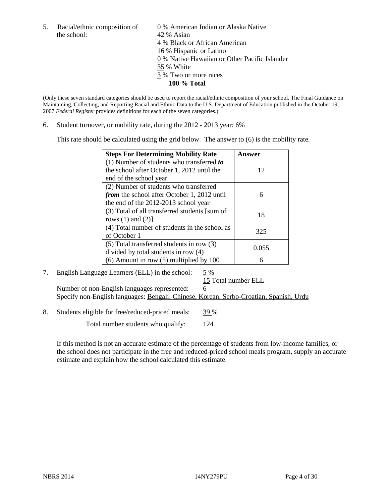the school: 42 % Asian

5. Racial/ethnic composition of  $\qquad \qquad \underline{0}$  % American Indian or Alaska Native 4 % Black or African American 16 % Hispanic or Latino 0 % Native Hawaiian or Other Pacific Islander 35 % White 3 % Two or more races **100 % Total**

(Only these seven standard categories should be used to report the racial/ethnic composition of your school. The Final Guidance on Maintaining, Collecting, and Reporting Racial and Ethnic Data to the U.S. Department of Education published in the October 19, 2007 *Federal Register* provides definitions for each of the seven categories.)

6. Student turnover, or mobility rate, during the  $2012 - 2013$  year:  $6\%$ 

This rate should be calculated using the grid below. The answer to (6) is the mobility rate.

| <b>Steps For Determining Mobility Rate</b>         | Answer |
|----------------------------------------------------|--------|
| (1) Number of students who transferred to          |        |
| the school after October 1, 2012 until the         | 12     |
| end of the school year                             |        |
| (2) Number of students who transferred             |        |
| <i>from</i> the school after October 1, 2012 until | 6      |
| the end of the 2012-2013 school year               |        |
| (3) Total of all transferred students [sum of      | 18     |
| rows $(1)$ and $(2)$ ]                             |        |
| (4) Total number of students in the school as      | 325    |
| of October 1                                       |        |
| (5) Total transferred students in row (3)          | 0.055  |
| divided by total students in row (4)               |        |
| $(6)$ Amount in row $(5)$ multiplied by 100        |        |

# 7. English Language Learners (ELL) in the school: 5 %

15 Total number ELL Number of non-English languages represented: 6 Specify non-English languages: Bengali, Chinese, Korean, Serbo-Croatian, Spanish, Urdu

8. Students eligible for free/reduced-priced meals: 39 %

Total number students who qualify:  $124$ 

If this method is not an accurate estimate of the percentage of students from low-income families, or the school does not participate in the free and reduced-priced school meals program, supply an accurate estimate and explain how the school calculated this estimate.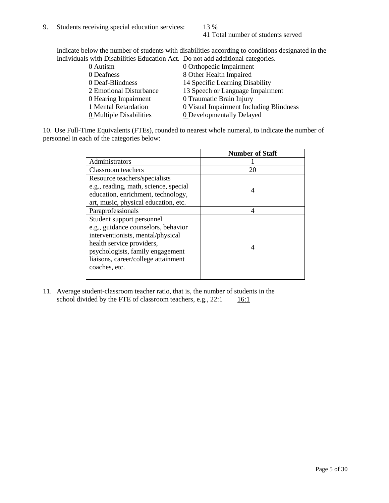41 Total number of students served

Indicate below the number of students with disabilities according to conditions designated in the Individuals with Disabilities Education Act. Do not add additional categories.

|                                | $\sim$ with Disabilities Equention Fee. Do not aga againsmal educ contest. |
|--------------------------------|----------------------------------------------------------------------------|
| 0 Autism                       | <b>0</b> Orthopedic Impairment                                             |
| 0 Deafness                     | 8 Other Health Impaired                                                    |
| 0 Deaf-Blindness               | 14 Specific Learning Disability                                            |
| 2 Emotional Disturbance        | 13 Speech or Language Impairment                                           |
| <b>0</b> Hearing Impairment    | 0 Traumatic Brain Injury                                                   |
| 1 Mental Retardation           | 0 Visual Impairment Including Blindness                                    |
| <b>0</b> Multiple Disabilities | <b>0</b> Developmentally Delayed                                           |
|                                |                                                                            |

10. Use Full-Time Equivalents (FTEs), rounded to nearest whole numeral, to indicate the number of personnel in each of the categories below:

|                                       | <b>Number of Staff</b> |
|---------------------------------------|------------------------|
| Administrators                        |                        |
| Classroom teachers                    | 20                     |
| Resource teachers/specialists         |                        |
| e.g., reading, math, science, special | 4                      |
| education, enrichment, technology,    |                        |
| art, music, physical education, etc.  |                        |
| Paraprofessionals                     | 4                      |
| Student support personnel             |                        |
| e.g., guidance counselors, behavior   |                        |
| interventionists, mental/physical     |                        |
| health service providers,             | 4                      |
| psychologists, family engagement      |                        |
| liaisons, career/college attainment   |                        |
| coaches, etc.                         |                        |
|                                       |                        |

11. Average student-classroom teacher ratio, that is, the number of students in the school divided by the FTE of classroom teachers, e.g.,  $22:1$  16:1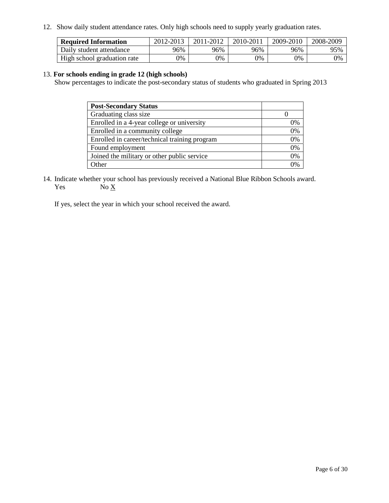12. Show daily student attendance rates. Only high schools need to supply yearly graduation rates.

| <b>Required Information</b> | 2012-2013     | 2011-2012 | 2010-2011 | 2009-2010 | 2008-2009 |
|-----------------------------|---------------|-----------|-----------|-----------|-----------|
| Daily student attendance    | 96%           | 96%       | 96%       | 96%       | 95%       |
| High school graduation rate | $\frac{1}{2}$ | 0%        | 0%        | 0%        | 0%        |

#### 13. **For schools ending in grade 12 (high schools)**

Show percentages to indicate the post-secondary status of students who graduated in Spring 2013

| <b>Post-Secondary Status</b>                  |          |
|-----------------------------------------------|----------|
| Graduating class size                         |          |
| Enrolled in a 4-year college or university    | 0%       |
| Enrolled in a community college               | 0%       |
| Enrolled in career/technical training program | 0%       |
| Found employment                              | 0%       |
| Joined the military or other public service   | 0%       |
| . Other                                       | $\gamma$ |

14. Indicate whether your school has previously received a National Blue Ribbon Schools award. Yes  $No X$ 

If yes, select the year in which your school received the award.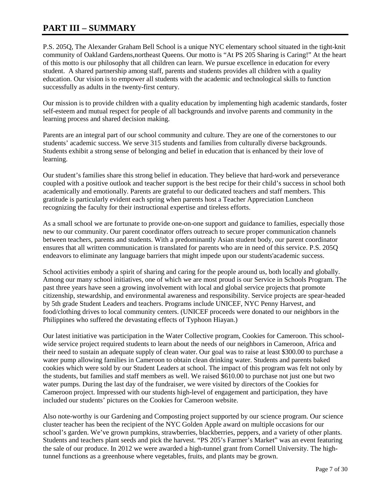# **PART III – SUMMARY**

P.S. 205Q, The Alexander Graham Bell School is a unique NYC elementary school situated in the tight-knit community of Oakland Gardens,northeast Queens. Our motto is "At PS 205 Sharing is Caring!" At the heart of this motto is our philosophy that all children can learn. We pursue excellence in education for every student. A shared partnership among staff, parents and students provides all children with a quality education. Our vision is to empower all students with the academic and technological skills to function successfully as adults in the twenty-first century.

Our mission is to provide children with a quality education by implementing high academic standards, foster self-esteem and mutual respect for people of all backgrounds and involve parents and community in the learning process and shared decision making.

Parents are an integral part of our school community and culture. They are one of the cornerstones to our students' academic success. We serve 315 students and families from culturally diverse backgrounds. Students exhibit a strong sense of belonging and belief in education that is enhanced by their love of learning.

Our student's families share this strong belief in education. They believe that hard-work and perseverance coupled with a positive outlook and teacher support is the best recipe for their child's success in school both academically and emotionally. Parents are grateful to our dedicated teachers and staff members. This gratitude is particularly evident each spring when parents host a Teacher Appreciation Luncheon recognizing the faculty for their instructional expertise and tireless efforts.

As a small school we are fortunate to provide one-on-one support and guidance to families, especially those new to our community. Our parent coordinator offers outreach to secure proper communication channels between teachers, parents and students. With a predominantly Asian student body, our parent coordinator ensures that all written communication is translated for parents who are in need of this service. P.S. 205Q endeavors to eliminate any language barriers that might impede upon our students'academic success.

School activities embody a spirit of sharing and caring for the people around us, both locally and globally. Among our many school initiatives, one of which we are most proud is our Service in Schools Program. The past three years have seen a growing involvement with local and global service projects that promote citizenship, stewardship, and environmental awareness and responsibility. Service projects are spear-headed by 5th grade Student Leaders and teachers. Programs include UNICEF, NYC Penny Harvest, and food/clothing drives to local community centers. (UNICEF proceeds were donated to our neighbors in the Philippines who suffered the devastating effects of Typhoon Hiayan.)

Our latest initiative was participation in the Water Collective program, Cookies for Cameroon. This schoolwide service project required students to learn about the needs of our neighbors in Cameroon, Africa and their need to sustain an adequate supply of clean water. Our goal was to raise at least \$300.00 to purchase a water pump allowing families in Cameroon to obtain clean drinking water. Students and parents baked cookies which were sold by our Student Leaders at school. The impact of this program was felt not only by the students, but families and staff members as well. We raised \$610.00 to purchase not just one but two water pumps. During the last day of the fundraiser, we were visited by directors of the Cookies for Cameroon project. Impressed with our students high-level of engagement and participation, they have included our students' pictures on the Cookies for Cameroon website.

Also note-worthy is our Gardening and Composting project supported by our science program. Our science cluster teacher has been the recipient of the NYC Golden Apple award on multiple occasions for our school's garden. We've grown pumpkins, strawberries, blackberries, peppers, and a variety of other plants. Students and teachers plant seeds and pick the harvest. "PS 205's Farmer's Market" was an event featuring the sale of our produce. In 2012 we were awarded a high-tunnel grant from Cornell University. The hightunnel functions as a greenhouse where vegetables, fruits, and plants may be grown.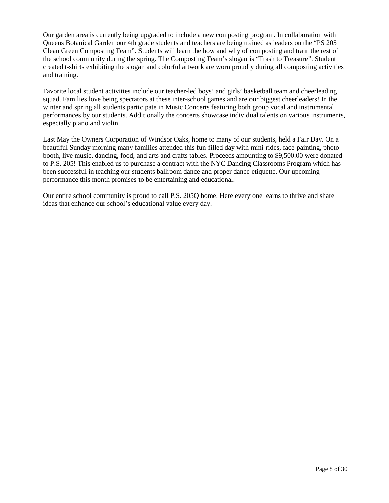Our garden area is currently being upgraded to include a new composting program. In collaboration with Queens Botanical Garden our 4th grade students and teachers are being trained as leaders on the "PS 205 Clean Green Composting Team". Students will learn the how and why of composting and train the rest of the school community during the spring. The Composting Team's slogan is "Trash to Treasure". Student created t-shirts exhibiting the slogan and colorful artwork are worn proudly during all composting activities and training.

Favorite local student activities include our teacher-led boys' and girls' basketball team and cheerleading squad. Families love being spectators at these inter-school games and are our biggest cheerleaders! In the winter and spring all students participate in Music Concerts featuring both group vocal and instrumental performances by our students. Additionally the concerts showcase individual talents on various instruments, especially piano and violin.

Last May the Owners Corporation of Windsor Oaks, home to many of our students, held a Fair Day. On a beautiful Sunday morning many families attended this fun-filled day with mini-rides, face-painting, photobooth, live music, dancing, food, and arts and crafts tables. Proceeds amounting to \$9,500.00 were donated to P.S. 205! This enabled us to purchase a contract with the NYC Dancing Classrooms Program which has been successful in teaching our students ballroom dance and proper dance etiquette. Our upcoming performance this month promises to be entertaining and educational.

Our entire school community is proud to call P.S. 205Q home. Here every one learns to thrive and share ideas that enhance our school's educational value every day.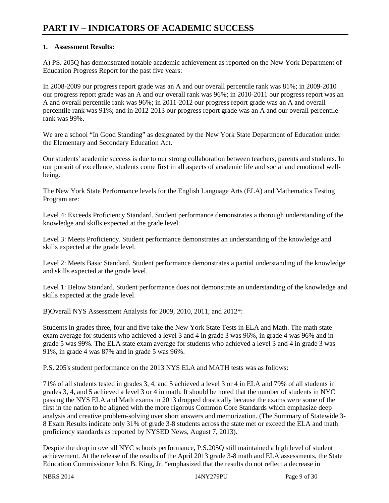# **PART IV – INDICATORS OF ACADEMIC SUCCESS**

#### **1. Assessment Results:**

A) PS. 205Q has demonstrated notable academic achievement as reported on the New York Department of Education Progress Report for the past five years:

In 2008-2009 our progress report grade was an A and our overall percentile rank was 81%; in 2009-2010 our progress report grade was an A and our overall rank was 96%; in 2010-2011 our progress report was an A and overall percentile rank was 96%; in 2011-2012 our progress report grade was an A and overall percentile rank was 91%; and in 2012-2013 our progress report grade was an A and our overall percentile rank was 99%.

We are a school "In Good Standing" as designated by the New York State Department of Education under the Elementary and Secondary Education Act.

Our students' academic success is due to our strong collaboration between teachers, parents and students. In our pursuit of excellence, students come first in all aspects of academic life and social and emotional wellbeing.

The New York State Performance levels for the English Language Arts (ELA) and Mathematics Testing Program are:

Level 4: Exceeds Proficiency Standard. Student performance demonstrates a thorough understanding of the knowledge and skills expected at the grade level.

Level 3: Meets Proficiency. Student performance demonstrates an understanding of the knowledge and skills expected at the grade level.

Level 2: Meets Basic Standard. Student performance demonstrates a partial understanding of the knowledge and skills expected at the grade level.

Level 1: Below Standard. Student performance does not demonstrate an understanding of the knowledge and skills expected at the grade level.

B)Overall NYS Assessment Analysis for 2009, 2010, 2011, and 2012\*:

Students in grades three, four and five take the New York State Tests in ELA and Math. The math state exam average for students who achieved a level 3 and 4 in grade 3 was 96%, in grade 4 was 96% and in grade 5 was 99%. The ELA state exam average for students who achieved a level 3 and 4 in grade 3 was 91%, in grade 4 was 87% and in grade 5 was 96%.

P.S. 205's student performance on the 2013 NYS ELA and MATH tests was as follows:

71% of all students tested in grades 3, 4, and 5 achieved a level 3 or 4 in ELA and 79% of all students in grades 3, 4, and 5 achieved a level 3 or 4 in math. It should be noted that the number of students in NYC passing the NYS ELA and Math exams in 2013 dropped drastically because the exams were some of the first in the nation to be aligned with the more rigorous Common Core Standards which emphasize deep analysis and creative problem-solving over short answers and memorization. (The Summary of Statewide 3- 8 Exam Results indicate only 31% of grade 3-8 students across the state met or exceed the ELA and math proficiency standards as reported by NYSED News, August 7, 2013).

Despite the drop in overall NYC schools performance, P.S.205Q still maintained a high level of student achievement. At the release of the results of the April 2013 grade 3-8 math and ELA assessments, the State Education Commissioner John B. King, Jr. "emphasized that the results do not reflect a decrease in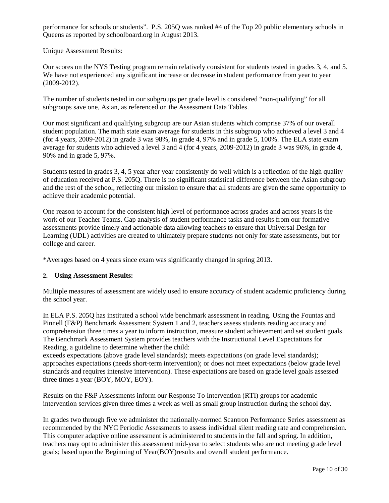performance for schools or students". P.S. 205Q was ranked #4 of the Top 20 public elementary schools in Queens as reported by schoolboard.org in August 2013.

Unique Assessment Results:

Our scores on the NYS Testing program remain relatively consistent for students tested in grades 3, 4, and 5. We have not experienced any significant increase or decrease in student performance from year to year (2009-2012).

The number of students tested in our subgroups per grade level is considered "non-qualifying" for all subgroups save one, Asian, as referenced on the Assessment Data Tables.

Our most significant and qualifying subgroup are our Asian students which comprise 37% of our overall student population. The math state exam average for students in this subgroup who achieved a level 3 and 4 (for 4 years, 2009-2012) in grade 3 was 98%, in grade 4, 97% and in grade 5, 100%. The ELA state exam average for students who achieved a level 3 and 4 (for 4 years, 2009-2012) in grade 3 was 96%, in grade 4, 90% and in grade 5, 97%.

Students tested in grades 3, 4, 5 year after year consistently do well which is a reflection of the high quality of education received at P.S. 205Q. There is no significant statistical difference between the Asian subgroup and the rest of the school, reflecting our mission to ensure that all students are given the same opportunity to achieve their academic potential.

One reason to account for the consistent high level of performance across grades and across years is the work of our Teacher Teams. Gap analysis of student performance tasks and results from our formative assessments provide timely and actionable data allowing teachers to ensure that Universal Design for Learning (UDL) activities are created to ultimately prepare students not only for state assessments, but for college and career.

\*Averages based on 4 years since exam was significantly changed in spring 2013.

#### **2. Using Assessment Results:**

Multiple measures of assessment are widely used to ensure accuracy of student academic proficiency during the school year.

In ELA P.S. 205Q has instituted a school wide benchmark assessment in reading. Using the Fountas and Pinnell (F&P) Benchmark Assessment System 1 and 2, teachers assess students reading accuracy and comprehension three times a year to inform instruction, measure student achievement and set student goals. The Benchmark Assessment System provides teachers with the Instructional Level Expectations for Reading, a guideline to determine whether the child:

exceeds expectations (above grade level standards); meets expectations (on grade level standards); approaches expectations (needs short-term intervention); or does not meet expectations (below grade level standards and requires intensive intervention). These expectations are based on grade level goals assessed three times a year (BOY, MOY, EOY).

Results on the F&P Assessments inform our Response To Intervention (RTI) groups for academic intervention services given three times a week as well as small group instruction during the school day.

In grades two through five we administer the nationally-normed Scantron Performance Series assessment as recommended by the NYC Periodic Assessments to assess individual silent reading rate and comprehension. This computer adaptive online assessment is administered to students in the fall and spring. In addition, teachers may opt to administer this assessment mid-year to select students who are not meeting grade level goals; based upon the Beginning of Year(BOY)results and overall student performance.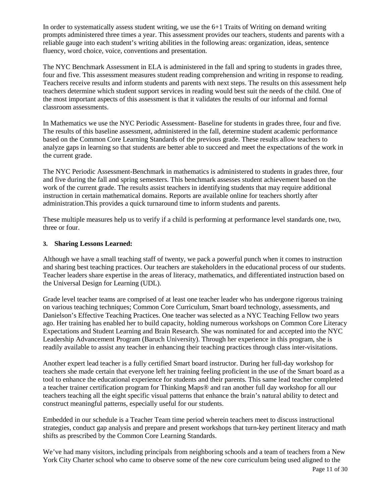In order to systematically assess student writing, we use the  $6+1$  Traits of Writing on demand writing prompts administered three times a year. This assessment provides our teachers, students and parents with a reliable gauge into each student's writing abilities in the following areas: organization, ideas, sentence fluency, word choice, voice, conventions and presentation.

The NYC Benchmark Assessment in ELA is administered in the fall and spring to students in grades three, four and five. This assessment measures student reading comprehension and writing in response to reading. Teachers receive results and inform students and parents with next steps. The results on this assessment help teachers determine which student support services in reading would best suit the needs of the child. One of the most important aspects of this assessment is that it validates the results of our informal and formal classroom assessments.

In Mathematics we use the NYC Periodic Assessment- Baseline for students in grades three, four and five. The results of this baseline assessment, administered in the fall, determine student academic performance based on the Common Core Learning Standards of the previous grade. These results allow teachers to analyze gaps in learning so that students are better able to succeed and meet the expectations of the work in the current grade.

The NYC Periodic Assessment-Benchmark in mathematics is administered to students in grades three, four and five during the fall and spring semesters. This benchmark assesses student achievement based on the work of the current grade. The results assist teachers in identifying students that may require additional instruction in certain mathematical domains. Reports are available online for teachers shortly after administration.This provides a quick turnaround time to inform students and parents.

These multiple measures help us to verify if a child is performing at performance level standards one, two, three or four.

#### **3. Sharing Lessons Learned:**

Although we have a small teaching staff of twenty, we pack a powerful punch when it comes to instruction and sharing best teaching practices. Our teachers are stakeholders in the educational process of our students. Teacher leaders share expertise in the areas of literacy, mathematics, and differentiated instruction based on the Universal Design for Learning (UDL).

Grade level teacher teams are comprised of at least one teacher leader who has undergone rigorous training on various teaching techniques; Common Core Curriculum, Smart board technology, assessments, and Danielson's Effective Teaching Practices. One teacher was selected as a NYC Teaching Fellow two years ago. Her training has enabled her to build capacity, holding numerous workshops on Common Core Literacy Expectations and Student Learning and Brain Research. She was nominated for and accepted into the NYC Leadership Advancement Program (Baruch University). Through her experience in this program, she is readily available to assist any teacher in enhancing their teaching practices through class inter-visitations.

Another expert lead teacher is a fully certified Smart board instructor. During her full-day workshop for teachers she made certain that everyone left her training feeling proficient in the use of the Smart board as a tool to enhance the educational experience for students and their parents. This same lead teacher completed a teacher trainer certification program for Thinking Maps® and ran another full day workshop for all our teachers teaching all the eight specific visual patterns that enhance the brain's natural ability to detect and construct meaningful patterns, especially useful for our students.

Embedded in our schedule is a Teacher Team time period wherein teachers meet to discuss instructional strategies, conduct gap analysis and prepare and present workshops that turn-key pertinent literacy and math shifts as prescribed by the Common Core Learning Standards.

We've had many visitors, including principals from neighboring schools and a team of teachers from a New York City Charter school who came to observe some of the new core curriculum being used aligned to the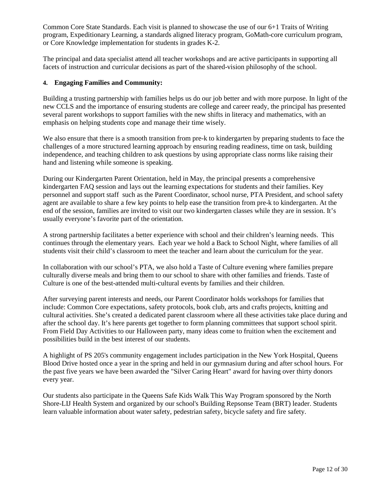Common Core State Standards. Each visit is planned to showcase the use of our 6+1 Traits of Writing program, Expeditionary Learning, a standards aligned literacy program, GoMath-core curriculum program, or Core Knowledge implementation for students in grades K-2.

The principal and data specialist attend all teacher workshops and are active participants in supporting all facets of instruction and curricular decisions as part of the shared-vision philosophy of the school.

### **4. Engaging Families and Community:**

Building a trusting partnership with families helps us do our job better and with more purpose. In light of the new CCLS and the importance of ensuring students are college and career ready, the principal has presented several parent workshops to support families with the new shifts in literacy and mathematics, with an emphasis on helping students cope and manage their time wisely.

We also ensure that there is a smooth transition from pre-k to kindergarten by preparing students to face the challenges of a more structured learning approach by ensuring reading readiness, time on task, building independence, and teaching children to ask questions by using appropriate class norms like raising their hand and listening while someone is speaking.

During our Kindergarten Parent Orientation, held in May, the principal presents a comprehensive kindergarten FAQ session and lays out the learning expectations for students and their families. Key personnel and support staff such as the Parent Coordinator, school nurse, PTA President, and school safety agent are available to share a few key points to help ease the transition from pre-k to kindergarten. At the end of the session, families are invited to visit our two kindergarten classes while they are in session. It's usually everyone's favorite part of the orientation.

A strong partnership facilitates a better experience with school and their children's learning needs. This continues through the elementary years. Each year we hold a Back to School Night, where families of all students visit their child's classroom to meet the teacher and learn about the curriculum for the year.

In collaboration with our school's PTA, we also hold a Taste of Culture evening where families prepare culturally diverse meals and bring them to our school to share with other families and friends. Taste of Culture is one of the best-attended multi-cultural events by families and their children.

After surveying parent interests and needs, our Parent Coordinator holds workshops for families that include: Common Core expectations, safety protocols, book club, arts and crafts projects, knitting and cultural activities. She's created a dedicated parent classroom where all these activities take place during and after the school day. It's here parents get together to form planning committees that support school spirit. From Field Day Activities to our Halloween party, many ideas come to fruition when the excitement and possibilities build in the best interest of our students.

A highlight of PS 205's community engagement includes participation in the New York Hospital, Queens Blood Drive hosted once a year in the spring and held in our gymnasium during and after school hours. For the past five years we have been awarded the "Silver Caring Heart" award for having over thirty donors every year.

Our students also participate in the Queens Safe Kids Walk This Way Program sponsored by the North Shore-LIJ Health System and organized by our school's Building Repsonse Team (BRT) leader. Students learn valuable information about water safety, pedestrian safety, bicycle safety and fire safety.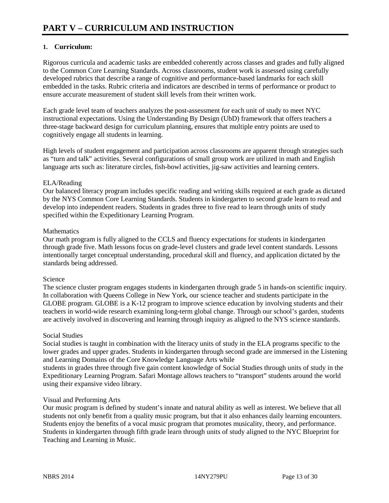### **1. Curriculum:**

Rigorous curricula and academic tasks are embedded coherently across classes and grades and fully aligned to the Common Core Learning Standards. Across classrooms, student work is assessed using carefully developed rubrics that describe a range of cognitive and performance-based landmarks for each skill embedded in the tasks. Rubric criteria and indicators are described in terms of performance or product to ensure accurate measurement of student skill levels from their written work.

Each grade level team of teachers analyzes the post-assessment for each unit of study to meet NYC instructional expectations. Using the Understanding By Design (UbD) framework that offers teachers a three-stage backward design for curriculum planning, ensures that multiple entry points are used to cognitively engage all students in learning.

High levels of student engagement and participation across classrooms are apparent through strategies such as "turn and talk" activities. Several configurations of small group work are utilized in math and English language arts such as: literature circles, fish-bowl activities, jig-saw activities and learning centers.

#### ELA/Reading

Our balanced literacy program includes specific reading and writing skills required at each grade as dictated by the NYS Common Core Learning Standards. Students in kindergarten to second grade learn to read and develop into independent readers. Students in grades three to five read to learn through units of study specified within the Expeditionary Learning Program.

#### **Mathematics**

Our math program is fully aligned to the CCLS and fluency expectations for students in kindergarten through grade five. Math lessons focus on grade-level clusters and grade level content standards. Lessons intentionally target conceptual understanding, procedural skill and fluency, and application dictated by the standards being addressed.

#### Science

The science cluster program engages students in kindergarten through grade 5 in hands-on scientific inquiry. In collaboration with Queens College in New York, our science teacher and students participate in the GLOBE program. GLOBE is a K-12 program to improve science education by involving students and their teachers in world-wide research examining long-term global change. Through our school's garden, students are actively involved in discovering and learning through inquiry as aligned to the NYS science standards.

#### Social Studies

Social studies is taught in combination with the literacy units of study in the ELA programs specific to the lower grades and upper grades. Students in kindergarten through second grade are immersed in the Listening and Learning Domains of the Core Knowledge Language Arts while

students in grades three through five gain content knowledge of Social Studies through units of study in the Expeditionary Learning Program. Safari Montage allows teachers to "transport" students around the world using their expansive video library.

#### Visual and Performing Arts

Our music program is defined by student's innate and natural ability as well as interest. We believe that all students not only benefit from a quality music program, but that it also enhances daily learning encounters. Students enjoy the benefits of a vocal music program that promotes musicality, theory, and performance. Students in kindergarten through fifth grade learn through units of study aligned to the NYC Blueprint for Teaching and Learning in Music.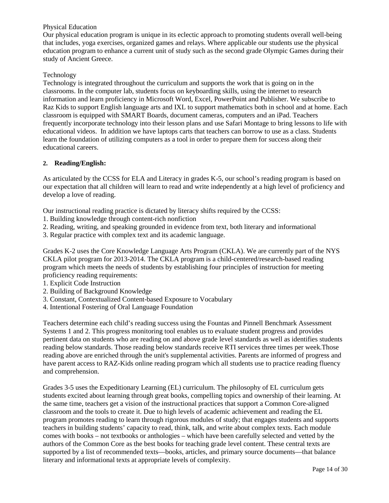#### Physical Education

Our physical education program is unique in its eclectic approach to promoting students overall well-being that includes, yoga exercises, organized games and relays. Where applicable our students use the physical education program to enhance a current unit of study such as the second grade Olympic Games during their study of Ancient Greece.

#### Technology

Technology is integrated throughout the curriculum and supports the work that is going on in the classrooms. In the computer lab, students focus on keyboarding skills, using the internet to research information and learn proficiency in Microsoft Word, Excel, PowerPoint and Publisher. We subscribe to Raz Kids to support English language arts and IXL to support mathematics both in school and at home. Each classroom is equipped with SMART Boards, document cameras, computers and an iPad. Teachers frequently incorporate technology into their lesson plans and use Safari Montage to bring lessons to life with educational videos. In addition we have laptops carts that teachers can borrow to use as a class. Students learn the foundation of utilizing computers as a tool in order to prepare them for success along their educational careers.

#### **2. Reading/English:**

As articulated by the CCSS for ELA and Literacy in grades K-5, our school's reading program is based on our expectation that all children will learn to read and write independently at a high level of proficiency and develop a love of reading.

Our instructional reading practice is dictated by literacy shifts required by the CCSS:

- 1. Building knowledge through content-rich nonfiction
- 2. Reading, writing, and speaking grounded in evidence from text, both literary and informational
- 3. Regular practice with complex text and its academic language.

Grades K-2 uses the Core Knowledge Language Arts Program (CKLA). We are currently part of the NYS CKLA pilot program for 2013-2014. The CKLA program is a child-centered/research-based reading program which meets the needs of students by establishing four principles of instruction for meeting proficiency reading requirements:

- 1. Explicit Code Instruction
- 2. Building of Background Knowledge
- 3. Constant, Contextualized Content-based Exposure to Vocabulary
- 4. Intentional Fostering of Oral Language Foundation

Teachers determine each child's reading success using the Fountas and Pinnell Benchmark Assessment Systems 1 and 2. This progress monitoring tool enables us to evaluate student progress and provides pertinent data on students who are reading on and above grade level standards as well as identifies students reading below standards. Those reading below standards receive RTI services three times per week.Those reading above are enriched through the unit's supplemental activities. Parents are informed of progress and have parent access to RAZ-Kids online reading program which all students use to practice reading fluency and comprehension.

Grades 3-5 uses the Expeditionary Learning (EL) curriculum. The philosophy of EL curriculum gets students excited about learning through great books, compelling topics and ownership of their learning. At the same time, teachers get a vision of the instructional practices that support a Common Core-aligned classroom and the tools to create it. Due to high levels of academic achievement and reading the EL program promotes reading to learn through rigorous modules of study; that engages students and supports teachers in building students' capacity to read, think, talk, and write about complex texts. Each module comes with books – not textbooks or anthologies – which have been carefully selected and vetted by the authors of the Common Core as the best books for teaching grade level content. These central texts are supported by a list of recommended texts—books, articles, and primary source documents—that balance literary and informational texts at appropriate levels of complexity.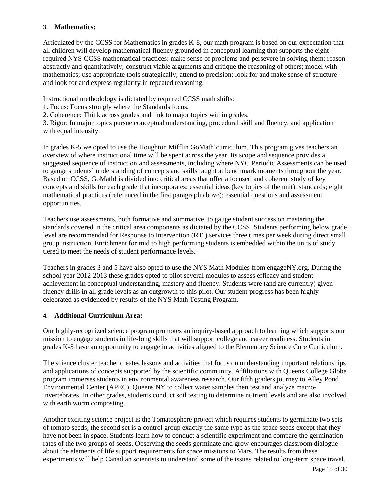#### **3. Mathematics:**

Articulated by the CCSS for Mathematics in grades K-8, our math program is based on our expectation that all children will develop mathematical fluency grounded in conceptual learning that supports the eight required NYS CCSS mathematical practices: make sense of problems and persevere in solving them; reason abstractly and quantitatively; construct viable arguments and critique the reasoning of others; model with mathematics; use appropriate tools strategically; attend to precision; look for and make sense of structure and look for and express regularity in repeated reasoning.

Instructional methodology is dictated by required CCSS math shifts:

- 1. Focus: Focus strongly where the Standards focus.
- 2. Coherence: Think across grades and link to major topics within grades.

3. Rigor: In major topics pursue conceptual understanding, procedural skill and fluency, and application with equal intensity.

In grades K-5 we opted to use the Houghton Mifflin GoMath!curriculum. This program gives teachers an overview of where instructional time will be spent across the year. Its scope and sequence provides a suggested sequence of instruction and assessments, including where NYC Periodic Assessments can be used to gauge students' understanding of concepts and skills taught at benchmark moments throughout the year. Based on CCSS, GoMath! is divided into critical areas that offer a focused and coherent study of key concepts and skills for each grade that incorporates: essential ideas (key topics of the unit); standards; eight mathematical practices (referenced in the first paragraph above); essential questions and assessment opportunities.

Teachers use assessments, both formative and summative, to gauge student success on mastering the standards covered in the critical area components as dictated by the CCSS. Students performing below grade level are recommended for Response to Intervention (RTI) services three times per week during direct small group instruction. Enrichment for mid to high performing students is embedded within the units of study tiered to meet the needs of student performance levels.

Teachers in grades 3 and 5 have also opted to use the NYS Math Modules from engageNY.org. During the school year 2012-2013 these grades opted to pilot several modules to assess efficacy and student achievement in conceptual understanding, mastery and fluency. Students were (and are currently) given fluency drills in all grade levels as an outgrowth to this pilot. Our student progress has been highly celebrated as evidenced by results of the NYS Math Testing Program.

### **4. Additional Curriculum Area:**

Our highly-recognized science program promotes an inquiry-based approach to learning which supports our mission to engage students in life-long skills that will support college and career readiness. Students in grades K-5 have an opportunity to engage in activities aligned to the Elementary Science Core Curriculum.

The science cluster teacher creates lessons and activities that focus on understanding important relationships and applications of concepts supported by the scientific community. Affiliations with Queens College Globe program immerses students in environmental awareness research. Our fifth graders journey to Alley Pond Environmental Center (APEC), Queens NY to collect water samples then test and analyze macroinvertebrates. In other grades, students conduct soil testing to determine nutrient levels and are also involved with earth worm composting.

Another exciting science project is the Tomatosphere project which requires students to germinate two sets of tomato seeds; the second set is a control group exactly the same type as the space seeds except that they have not been in space. Students learn how to conduct a scientific experiment and compare the germination rates of the two groups of seeds. Observing the seeds germinate and grow encourages classroom dialogue about the elements of life support requirements for space missions to Mars. The results from these experiments will help Canadian scientists to understand some of the issues related to long-term space travel.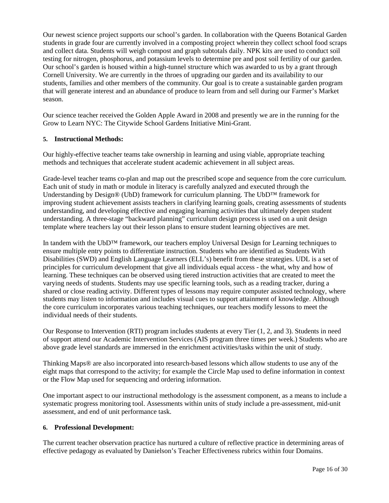Our newest science project supports our school's garden. In collaboration with the Queens Botanical Garden students in grade four are currently involved in a composting project wherein they collect school food scraps and collect data. Students will weigh compost and graph subtotals daily. NPK kits are used to conduct soil testing for nitrogen, phosphorus, and potassium levels to determine pre and post soil fertility of our garden. Our school's garden is housed within a high-tunnel structure which was awarded to us by a grant through Cornell University. We are currently in the throes of upgrading our garden and its availability to our students, families and other members of the community. Our goal is to create a sustainable garden program that will generate interest and an abundance of produce to learn from and sell during our Farmer's Market season.

Our science teacher received the Golden Apple Award in 2008 and presently we are in the running for the Grow to Learn NYC: The Citywide School Gardens Initiative Mini-Grant.

#### **5. Instructional Methods:**

Our highly-effective teacher teams take ownership in learning and using viable, appropriate teaching methods and techniques that accelerate student academic achievement in all subject areas.

Grade-level teacher teams co-plan and map out the prescribed scope and sequence from the core curriculum. Each unit of study in math or module in literacy is carefully analyzed and executed through the Understanding by Design® (UbD) framework for curriculum planning. The UbD™ framework for improving student achievement assists teachers in clarifying learning goals, creating assessments of students understanding, and developing effective and engaging learning activities that ultimately deepen student understanding. A three-stage "backward planning" curriculum design process is used on a unit design template where teachers lay out their lesson plans to ensure student learning objectives are met.

In tandem with the UbD™ framework, our teachers employ Universal Design for Learning techniques to ensure multiple entry points to differentiate instruction. Students who are identified as Students With Disabilities (SWD) and English Language Learners (ELL's) benefit from these strategies. UDL is a set of principles for curriculum development that give all individuals equal access - the what, why and how of learning. These techniques can be observed using tiered instruction activities that are created to meet the varying needs of students. Students may use specific learning tools, such as a reading tracker, during a shared or close reading activity. Different types of lessons may require computer assisted technology, where students may listen to information and includes visual cues to support attainment of knowledge. Although the core curriculum incorporates various teaching techniques, our teachers modify lessons to meet the individual needs of their students.

Our Response to Intervention (RTI) program includes students at every Tier (1, 2, and 3). Students in need of support attend our Academic Intervention Services (AIS program three times per week.) Students who are above grade level standards are immersed in the enrichment activities/tasks within the unit of study.

Thinking Maps® are also incorporated into research-based lessons which allow students to use any of the eight maps that correspond to the activity; for example the Circle Map used to define information in context or the Flow Map used for sequencing and ordering information.

One important aspect to our instructional methodology is the assessment component, as a means to include a systematic progress monitoring tool. Assessments within units of study include a pre-assessment, mid-unit assessment, and end of unit performance task.

#### **6. Professional Development:**

The current teacher observation practice has nurtured a culture of reflective practice in determining areas of effective pedagogy as evaluated by Danielson's Teacher Effectiveness rubrics within four Domains.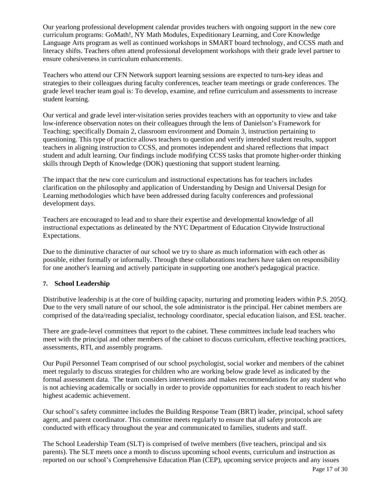Our yearlong professional development calendar provides teachers with ongoing support in the new core curriculum programs: GoMath!, NY Math Modules, Expeditionary Learning, and Core Knowledge Language Arts program as well as continued workshops in SMART board technology, and CCSS math and literacy shifts. Teachers often attend professional development workshops with their grade level partner to ensure cohesiveness in curriculum enhancements.

Teachers who attend our CFN Network support learning sessions are expected to turn-key ideas and strategies to their colleagues during faculty conferences, teacher team meetings or grade conferences. The grade level teacher team goal is: To develop, examine, and refine curriculum and assessments to increase student learning.

Our vertical and grade level inter-visitation series provides teachers with an opportunity to view and take low-inference observation notes on their colleagues through the lens of Danielson's Framework for Teaching; specifically Domain 2, classroom environment and Domain 3, instruction pertaining to questioning. This type of practice allows teachers to question and verify intended student results, support teachers in aligning instruction to CCSS, and promotes independent and shared reflections that impact student and adult learning. Our findings include modifying CCSS tasks that promote higher-order thinking skills through Depth of Knowledge (DOK) questioning that support student learning.

The impact that the new core curriculum and instructional expectations has for teachers includes clarification on the philosophy and application of Understanding by Design and Universal Design for Learning methodologies which have been addressed during faculty conferences and professional development days.

Teachers are encouraged to lead and to share their expertise and developmental knowledge of all instructional expectations as delineated by the NYC Department of Education Citywide Instructional Expectations.

Due to the diminutive character of our school we try to share as much information with each other as possible, either formally or informally. Through these collaborations teachers have taken on responsibility for one another's learning and actively participate in supporting one another's pedagogical practice.

### **7. School Leadership**

Distributive leadership is at the core of building capacity, nurturing and promoting leaders within P.S. 205Q. Due to the very small nature of our school, the sole administrator is the principal. Her cabinet members are comprised of the data/reading specialist, technology coordinator, special education liaison, and ESL teacher.

There are grade-level committees that report to the cabinet. These committees include lead teachers who meet with the principal and other members of the cabinet to discuss curriculum, effective teaching practices, assessments, RTI, and assembly programs.

Our Pupil Personnel Team comprised of our school psychologist, social worker and members of the cabinet meet regularly to discuss strategies for children who are working below grade level as indicated by the formal assessment data. The team considers interventions and makes recommendations for any student who is not achieving academically or socially in order to provide opportunities for each student to reach his/her highest academic achievement.

Our school's safety committee includes the Building Response Team (BRT) leader, principal, school safety agent, and parent coordinator. This committee meets regularly to ensure that all safety protocols are conducted with efficacy throughout the year and communicated to families, students and staff.

The School Leadership Team (SLT) is comprised of twelve members (five teachers, principal and six parents). The SLT meets once a month to discuss upcoming school events, curriculum and instruction as reported on our school's Comprehensive Education Plan (CEP), upcoming service projects and any issues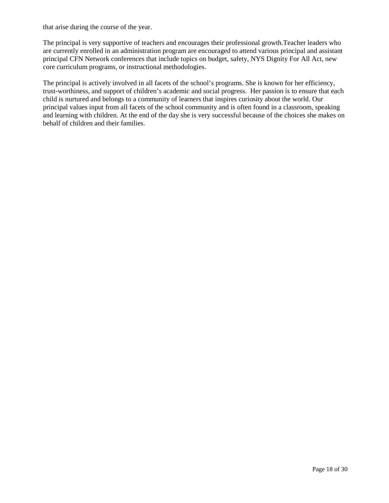that arise during the course of the year.

The principal is very supportive of teachers and encourages their professional growth.Teacher leaders who are currently enrolled in an administration program are encouraged to attend various principal and assistant principal CFN Network conferences that include topics on budget, safety, NYS Dignity For All Act, new core curriculum programs, or instructional methodologies.

The principal is actively involved in all facets of the school's programs. She is known for her efficiency, trust-worthiness, and support of children's academic and social progress. Her passion is to ensure that each child is nurtured and belongs to a community of learners that inspires curiosity about the world. Our principal values input from all facets of the school community and is often found in a classroom, speaking and learning with children. At the end of the day she is very successful because of the choices she makes on behalf of children and their families.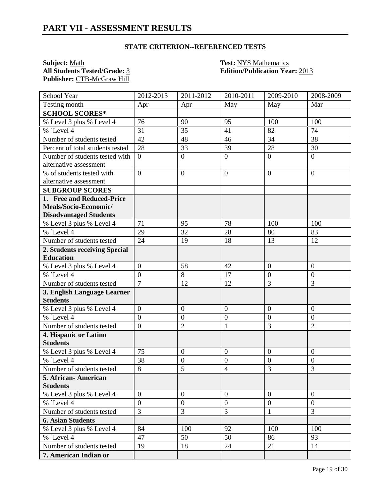**Subject:** <u>Math **Test:** NYS Mathematics</u><br> **All Students Tested/Grade:** <u>3</u> **Test: Constanting Edition/Publication Year Publisher:** CTB-McGraw Hill

**All Students Tested/Grade:** 3 **Edition/Publication Year:** 2013

| School Year                      | 2012-2013        | 2011-2012        | 2010-2011        | 2009-2010        | 2008-2009        |
|----------------------------------|------------------|------------------|------------------|------------------|------------------|
| Testing month                    | Apr              | Apr              | May              | May              | Mar              |
| <b>SCHOOL SCORES*</b>            |                  |                  |                  |                  |                  |
| % Level 3 plus % Level 4         | 76               | 90               | 95               | 100              | 100              |
| $%$ Level 4                      | 31               | 35               | 41               | 82               | 74               |
| Number of students tested        | 42               | 48               | 46               | 34               | 38               |
| Percent of total students tested | 28               | 33               | 39               | 28               | 30               |
| Number of students tested with   | $\overline{0}$   | $\overline{0}$   | $\overline{0}$   | $\overline{0}$   | $\overline{0}$   |
| alternative assessment           |                  |                  |                  |                  |                  |
| % of students tested with        | $\overline{0}$   | $\overline{0}$   | $\overline{0}$   | $\overline{0}$   | $\overline{0}$   |
| alternative assessment           |                  |                  |                  |                  |                  |
| <b>SUBGROUP SCORES</b>           |                  |                  |                  |                  |                  |
| 1. Free and Reduced-Price        |                  |                  |                  |                  |                  |
| Meals/Socio-Economic/            |                  |                  |                  |                  |                  |
| <b>Disadvantaged Students</b>    |                  |                  |                  |                  |                  |
| % Level 3 plus % Level 4         | 71               | 95               | 78               | 100              | 100              |
| % `Level 4                       | 29               | 32               | 28               | 80               | 83               |
| Number of students tested        | 24               | 19               | 18               | 13               | 12               |
| 2. Students receiving Special    |                  |                  |                  |                  |                  |
| <b>Education</b>                 |                  |                  |                  |                  |                  |
| % Level 3 plus % Level 4         | $\boldsymbol{0}$ | 58               | 42               | $\boldsymbol{0}$ | $\overline{0}$   |
| % `Level 4                       | $\overline{0}$   | 8                | 17               | $\overline{0}$   | $\boldsymbol{0}$ |
| Number of students tested        | $\overline{7}$   | 12               | 12               | 3                | 3                |
| 3. English Language Learner      |                  |                  |                  |                  |                  |
| <b>Students</b>                  |                  |                  |                  |                  |                  |
| % Level 3 plus % Level 4         | $\boldsymbol{0}$ | $\mathbf{0}$     | $\boldsymbol{0}$ | $\boldsymbol{0}$ | $\overline{0}$   |
| % `Level 4                       | $\overline{0}$   | $\boldsymbol{0}$ | $\overline{0}$   | $\overline{0}$   | $\overline{0}$   |
| Number of students tested        | $\boldsymbol{0}$ | $\overline{2}$   | $\mathbf{1}$     | $\overline{3}$   | $\overline{2}$   |
| 4. Hispanic or Latino            |                  |                  |                  |                  |                  |
| <b>Students</b>                  |                  |                  |                  |                  |                  |
| % Level 3 plus % Level 4         | 75               | $\mathbf{0}$     | $\overline{0}$   | $\overline{0}$   | $\overline{0}$   |
| % `Level 4                       | 38               | $\boldsymbol{0}$ | $\boldsymbol{0}$ | $\overline{0}$   | $\boldsymbol{0}$ |
| Number of students tested        | $\,8\,$          | 5                | $\overline{4}$   | 3                | 3                |
| 5. African- American             |                  |                  |                  |                  |                  |
| <b>Students</b>                  |                  |                  |                  |                  |                  |
| % Level 3 plus % Level 4         | $\overline{0}$   | $\overline{0}$   | $\overline{0}$   | $\overline{0}$   | $\overline{0}$   |
| % `Level 4                       | $\boldsymbol{0}$ | $\mathbf{0}$     | $\boldsymbol{0}$ | $\overline{0}$   | $\mathbf{0}$     |
| Number of students tested        | 3                | 3                | 3                | $\mathbf{1}$     | 3                |
| <b>6. Asian Students</b>         |                  |                  |                  |                  |                  |
| % Level 3 plus % Level 4         | 84               | 100              | 92               | 100              | 100              |
| % Level 4                        | 47               | 50               | 50               | 86               | 93               |
| Number of students tested        | 19               | 18               | 24               | 21               | 14               |
| 7. American Indian or            |                  |                  |                  |                  |                  |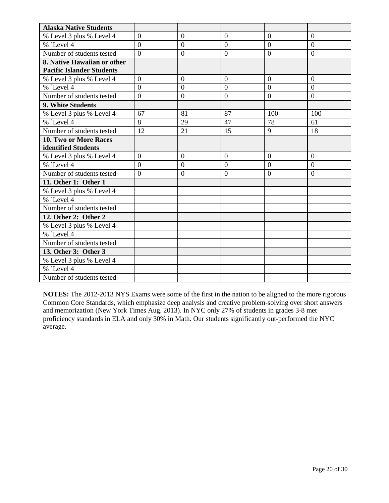| <b>Alaska Native Students</b>    |                |                  |                |                |                |
|----------------------------------|----------------|------------------|----------------|----------------|----------------|
| % Level 3 plus % Level 4         | $\overline{0}$ | $\overline{0}$   | $\overline{0}$ | $\overline{0}$ | $\mathbf{0}$   |
| $%$ Level 4                      | $\overline{0}$ | $\overline{0}$   | $\overline{0}$ | $\Omega$       | $\theta$       |
| Number of students tested        | $\overline{0}$ | $\boldsymbol{0}$ | $\overline{0}$ | $\theta$       | $\overline{0}$ |
| 8. Native Hawaiian or other      |                |                  |                |                |                |
| <b>Pacific Islander Students</b> |                |                  |                |                |                |
| % Level 3 plus % Level 4         | $\overline{0}$ | $\overline{0}$   | $\overline{0}$ | $\overline{0}$ | $\overline{0}$ |
| % `Level 4                       | $\theta$       | $\Omega$         | $\theta$       | $\theta$       | $\theta$       |
| Number of students tested        | $\overline{0}$ | $\overline{0}$   | $\overline{0}$ | $\overline{0}$ | $\overline{0}$ |
| 9. White Students                |                |                  |                |                |                |
| % Level 3 plus % Level 4         | 67             | 81               | 87             | 100            | 100            |
| % `Level 4                       | 8              | 29               | 47             | 78             | 61             |
| Number of students tested        | 12             | 21               | 15             | 9              | 18             |
| <b>10. Two or More Races</b>     |                |                  |                |                |                |
| identified Students              |                |                  |                |                |                |
| % Level 3 plus % Level 4         | $\overline{0}$ | $\overline{0}$   | $\overline{0}$ | $\overline{0}$ | $\overline{0}$ |
| $%$ Level 4                      | $\overline{0}$ | $\overline{0}$   | $\overline{0}$ | $\overline{0}$ | $\overline{0}$ |
| Number of students tested        | $\overline{0}$ | $\overline{0}$   | $\overline{0}$ | $\overline{0}$ | $\overline{0}$ |
| 11. Other 1: Other 1             |                |                  |                |                |                |
| % Level 3 plus % Level 4         |                |                  |                |                |                |
| $%$ Level 4                      |                |                  |                |                |                |
| Number of students tested        |                |                  |                |                |                |
| 12. Other 2: Other 2             |                |                  |                |                |                |
| % Level 3 plus % Level 4         |                |                  |                |                |                |
| $%$ Level 4                      |                |                  |                |                |                |
| Number of students tested        |                |                  |                |                |                |
| 13. Other 3: Other 3             |                |                  |                |                |                |
| % Level 3 plus % Level 4         |                |                  |                |                |                |
| % `Level 4                       |                |                  |                |                |                |
| Number of students tested        |                |                  |                |                |                |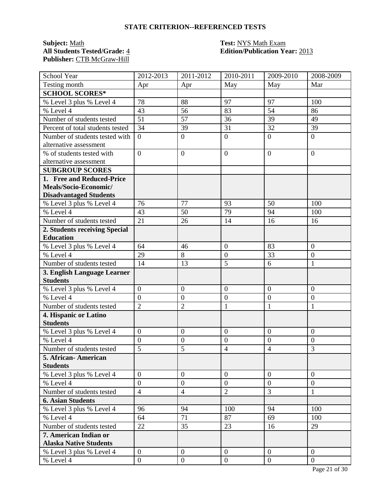**Subject:** <u>Math **Test:** NYS Math Exam</u><br> **All Students Tested/Grade:** 4 **Test: Call Edition/Publication Ye** Publisher: CTB McGraw-Hill

# **All Students Tested/Grade:** 4 **Edition/Publication Year:** 2013

| School Year                      | 2012-2013        | 2011-2012        | 2010-2011        | 2009-2010        | 2008-2009        |
|----------------------------------|------------------|------------------|------------------|------------------|------------------|
| Testing month                    | Apr              | Apr              | May              | May              | Mar              |
| <b>SCHOOL SCORES*</b>            |                  |                  |                  |                  |                  |
| % Level 3 plus % Level 4         | 78               | 88               | 97               | 97               | 100              |
| % Level 4                        | 43               | 56               | 83               | 54               | 86               |
| Number of students tested        | 51               | 57               | 36               | 39               | 49               |
| Percent of total students tested | 34               | 39               | 31               | 32               | 39               |
| Number of students tested with   | $\overline{0}$   | $\overline{0}$   | $\overline{0}$   | $\overline{0}$   | $\overline{0}$   |
| alternative assessment           |                  |                  |                  |                  |                  |
| % of students tested with        | $\overline{0}$   | $\overline{0}$   | $\overline{0}$   | $\overline{0}$   | $\Omega$         |
| alternative assessment           |                  |                  |                  |                  |                  |
| <b>SUBGROUP SCORES</b>           |                  |                  |                  |                  |                  |
| 1. Free and Reduced-Price        |                  |                  |                  |                  |                  |
| Meals/Socio-Economic/            |                  |                  |                  |                  |                  |
| <b>Disadvantaged Students</b>    |                  |                  |                  |                  |                  |
| % Level 3 plus % Level 4         | 76               | 77               | 93               | 50               | 100              |
| % Level 4                        | 43               | 50               | 79               | 94               | 100              |
| Number of students tested        | 21               | 26               | 14               | 16               | 16               |
| 2. Students receiving Special    |                  |                  |                  |                  |                  |
| <b>Education</b>                 |                  |                  |                  |                  |                  |
| % Level 3 plus % Level 4         | 64               | 46               | $\overline{0}$   | 83               | $\overline{0}$   |
| % Level 4                        | 29               | 8                | $\overline{0}$   | 33               | $\overline{0}$   |
| Number of students tested        | 14               | 13               | 5                | 6                | 1                |
| 3. English Language Learner      |                  |                  |                  |                  |                  |
| <b>Students</b>                  |                  |                  |                  |                  |                  |
| % Level 3 plus % Level 4         | $\boldsymbol{0}$ | $\mathbf{0}$     | $\overline{0}$   | $\boldsymbol{0}$ | $\overline{0}$   |
| % Level 4                        | $\boldsymbol{0}$ | $\mathbf{0}$     | $\mathbf{0}$     | $\boldsymbol{0}$ | $\boldsymbol{0}$ |
| Number of students tested        | $\overline{2}$   | $\overline{2}$   | $\mathbf{1}$     | $\mathbf{1}$     | 1                |
| 4. Hispanic or Latino            |                  |                  |                  |                  |                  |
| <b>Students</b>                  |                  |                  |                  |                  |                  |
| % Level 3 plus % Level 4         | $\boldsymbol{0}$ | $\mathbf{0}$     | $\mathbf{0}$     | $\boldsymbol{0}$ | $\overline{0}$   |
| % Level 4                        | $\overline{0}$   | $\mathbf{0}$     | $\mathbf{0}$     | $\overline{0}$   | $\overline{0}$   |
| Number of students tested        | $\overline{5}$   | 5                | $\overline{4}$   | $\overline{4}$   | 3                |
| 5. African-American              |                  |                  |                  |                  |                  |
| <b>Students</b>                  |                  |                  |                  |                  |                  |
| % Level 3 plus % Level 4         | $\overline{0}$   | $\theta$         | $\overline{0}$   | $\theta$         | $\overline{0}$   |
| % Level 4                        | $\overline{0}$   | $\overline{0}$   | $\overline{0}$   | $\overline{0}$   | $\overline{0}$   |
| Number of students tested        | $\overline{4}$   | $\overline{4}$   | $\mathbf{2}$     | $\overline{3}$   | $\mathbf{1}$     |
| <b>6. Asian Students</b>         |                  |                  |                  |                  |                  |
| % Level 3 plus % Level 4         | 96               | 94               | 100              | 94               | 100              |
| % Level 4                        | 64               | 71               | 87               | 69               | 100              |
| Number of students tested        | 22               | 35               | 23               | 16               | 29               |
| 7. American Indian or            |                  |                  |                  |                  |                  |
| <b>Alaska Native Students</b>    |                  |                  |                  |                  |                  |
| % Level 3 plus % Level 4         | $\boldsymbol{0}$ | $\overline{0}$   | $\overline{0}$   | $\mathbf{0}$     | $\overline{0}$   |
| % Level 4                        | $\boldsymbol{0}$ | $\boldsymbol{0}$ | $\boldsymbol{0}$ | $\boldsymbol{0}$ | $\overline{0}$   |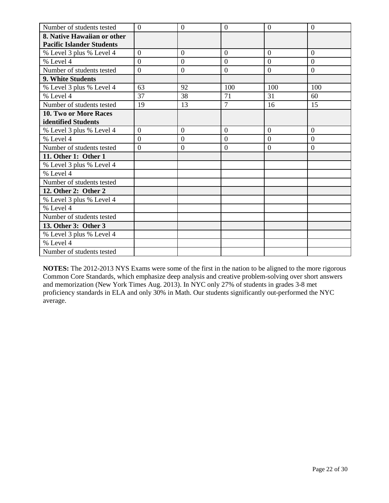| Number of students tested        | $\theta$       | $\theta$       | $\overline{0}$   | $\overline{0}$ | $\overline{0}$ |
|----------------------------------|----------------|----------------|------------------|----------------|----------------|
| 8. Native Hawaiian or other      |                |                |                  |                |                |
| <b>Pacific Islander Students</b> |                |                |                  |                |                |
| % Level 3 plus % Level 4         | $\overline{0}$ | $\mathbf{0}$   | $\overline{0}$   | $\overline{0}$ | $\overline{0}$ |
| % Level 4                        | $\Omega$       | $\theta$       | $\Omega$         | $\theta$       | $\Omega$       |
| Number of students tested        | $\overline{0}$ | $\overline{0}$ | $\boldsymbol{0}$ | $\overline{0}$ | $\overline{0}$ |
| 9. White Students                |                |                |                  |                |                |
| % Level 3 plus % Level 4         | 63             | 92             | 100              | 100            | 100            |
| % Level 4                        | 37             | 38             | 71               | 31             | 60             |
| Number of students tested        | 19             | 13             | $\overline{7}$   | 16             | 15             |
| 10. Two or More Races            |                |                |                  |                |                |
| identified Students              |                |                |                  |                |                |
| % Level 3 plus % Level 4         | $\overline{0}$ | $\overline{0}$ | $\overline{0}$   | $\overline{0}$ | $\overline{0}$ |
| % Level 4                        | $\theta$       | $\overline{0}$ | $\overline{0}$   | $\overline{0}$ | $\Omega$       |
| Number of students tested        | $\overline{0}$ | $\overline{0}$ | $\overline{0}$   | $\overline{0}$ | $\overline{0}$ |
| 11. Other 1: Other 1             |                |                |                  |                |                |
| % Level 3 plus % Level 4         |                |                |                  |                |                |
| % Level 4                        |                |                |                  |                |                |
| Number of students tested        |                |                |                  |                |                |
| 12. Other 2: Other 2             |                |                |                  |                |                |
| % Level 3 plus % Level 4         |                |                |                  |                |                |
| % Level 4                        |                |                |                  |                |                |
| Number of students tested        |                |                |                  |                |                |
| 13. Other 3: Other 3             |                |                |                  |                |                |
| % Level 3 plus % Level 4         |                |                |                  |                |                |
| % Level 4                        |                |                |                  |                |                |
| Number of students tested        |                |                |                  |                |                |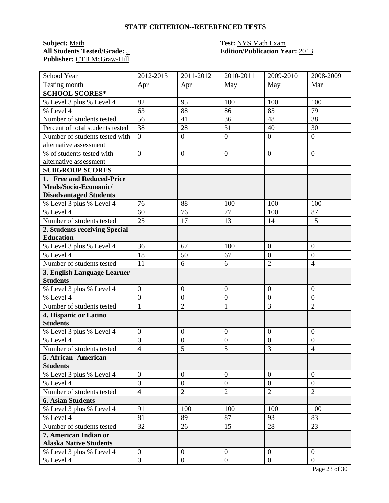**Subject:** <u>Math **Test:** Math Exam</u><br> **All Students Tested/Grade:** 5 **Test: Containery Property Containery Property Containery Property Containery Property Containery Property Containery Property Property Contai** Publisher: CTB McGraw-Hill

# **All Students Tested/Grade:** 5 **Edition/Publication Year:** 2013

| School Year                                            | 2012-2013        | 2011-2012        | 2010-2011        | 2009-2010                        | 2008-2009      |
|--------------------------------------------------------|------------------|------------------|------------------|----------------------------------|----------------|
| Testing month                                          | Apr              | Apr              | May              | May                              | Mar            |
| <b>SCHOOL SCORES*</b>                                  |                  |                  |                  |                                  |                |
| % Level 3 plus % Level 4                               | 82               | 95               | 100              | 100                              | 100            |
| % Level 4                                              | 63               | 88               | 86               | 85                               | 79             |
| Number of students tested                              | 56               | 41               | 36               | 48                               | 38             |
| Percent of total students tested                       | 38               | 28               | 31               | 40                               | 30             |
| Number of students tested with                         | $\overline{0}$   | $\overline{0}$   | $\overline{0}$   | $\overline{0}$                   | $\overline{0}$ |
| alternative assessment                                 |                  |                  |                  |                                  |                |
| % of students tested with                              | $\overline{0}$   | $\overline{0}$   | $\overline{0}$   | $\overline{0}$                   | $\Omega$       |
| alternative assessment                                 |                  |                  |                  |                                  |                |
| <b>SUBGROUP SCORES</b>                                 |                  |                  |                  |                                  |                |
| 1. Free and Reduced-Price                              |                  |                  |                  |                                  |                |
| Meals/Socio-Economic/                                  |                  |                  |                  |                                  |                |
| <b>Disadvantaged Students</b>                          |                  |                  |                  |                                  |                |
| % Level 3 plus % Level 4                               | 76               | 88               | 100              | 100                              | 100            |
| % Level 4                                              | 60               | 76               | 77               | 100                              | 87             |
| Number of students tested                              | 25               | 17               | 13               | 14                               | 15             |
| 2. Students receiving Special                          |                  |                  |                  |                                  |                |
| <b>Education</b>                                       |                  |                  |                  |                                  |                |
| % Level 3 plus % Level 4                               | 36               | 67               | 100              | $\overline{0}$                   | $\overline{0}$ |
| % Level 4                                              | 18               | 50               | 67               | $\overline{0}$                   | $\overline{0}$ |
| Number of students tested                              | 11               | 6                | 6                | $\overline{2}$                   | $\overline{4}$ |
| 3. English Language Learner                            |                  |                  |                  |                                  |                |
| <b>Students</b>                                        |                  |                  |                  |                                  |                |
| % Level 3 plus % Level 4                               | $\boldsymbol{0}$ | $\mathbf{0}$     | $\overline{0}$   | $\boldsymbol{0}$                 | $\overline{0}$ |
| % Level 4                                              | $\overline{0}$   | $\mathbf{0}$     | $\mathbf{0}$     | $\boldsymbol{0}$                 | $\overline{0}$ |
| Number of students tested                              | $\mathbf{1}$     | $\overline{2}$   | $\mathbf{1}$     | 3                                | $\overline{2}$ |
| 4. Hispanic or Latino                                  |                  |                  |                  |                                  |                |
| <b>Students</b>                                        |                  |                  |                  |                                  |                |
| % Level 3 plus % Level 4                               | $\boldsymbol{0}$ | $\mathbf{0}$     | $\mathbf{0}$     | $\boldsymbol{0}$                 | $\overline{0}$ |
| % Level 4                                              | $\overline{0}$   | $\mathbf{0}$     | $\mathbf{0}$     | $\overline{0}$<br>$\overline{3}$ | $\overline{0}$ |
| Number of students tested                              | $\overline{4}$   | 5                | $\overline{5}$   |                                  | $\overline{4}$ |
| 5. African-American<br><b>Students</b>                 |                  |                  |                  |                                  |                |
| % Level 3 plus % Level 4                               | $\overline{0}$   | $\overline{0}$   | $\overline{0}$   | $\overline{0}$                   | $\overline{0}$ |
| % Level 4                                              | $\overline{0}$   | $\overline{0}$   | $\overline{0}$   | $\overline{0}$                   | $\overline{0}$ |
|                                                        | $\overline{4}$   |                  |                  | $\overline{2}$                   | $\overline{2}$ |
| Number of students tested                              |                  | $\overline{2}$   | $\sqrt{2}$       |                                  |                |
| <b>6. Asian Students</b><br>% Level 3 plus % Level 4   | 91               | 100              | 100              | 100                              | 100            |
| % Level 4                                              |                  |                  | 87               |                                  |                |
|                                                        | 81               | 89               | 15               | 93<br>28                         | 83<br>23       |
| Number of students tested                              | 32               | 26               |                  |                                  |                |
| 7. American Indian or<br><b>Alaska Native Students</b> |                  |                  |                  |                                  |                |
| % Level 3 plus % Level 4                               | $\boldsymbol{0}$ | $\overline{0}$   | $\overline{0}$   | $\mathbf{0}$                     | $\overline{0}$ |
| % Level 4                                              | $\overline{0}$   | $\boldsymbol{0}$ | $\boldsymbol{0}$ | $\boldsymbol{0}$                 | $\overline{0}$ |
|                                                        |                  |                  |                  |                                  |                |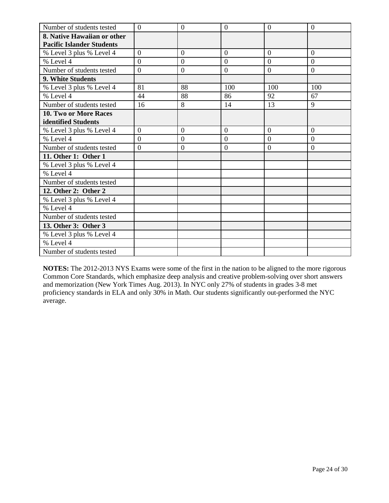| Number of students tested        | $\overline{0}$ | $\overline{0}$ | $\overline{0}$ | $\overline{0}$ | $\overline{0}$ |
|----------------------------------|----------------|----------------|----------------|----------------|----------------|
| 8. Native Hawaiian or other      |                |                |                |                |                |
| <b>Pacific Islander Students</b> |                |                |                |                |                |
| % Level 3 plus % Level 4         | $\overline{0}$ | $\overline{0}$ | $\overline{0}$ | $\overline{0}$ | $\Omega$       |
| % Level 4                        | $\overline{0}$ | $\theta$       | $\overline{0}$ | $\overline{0}$ | $\overline{0}$ |
| Number of students tested        | $\overline{0}$ | $\theta$       | $\overline{0}$ | $\overline{0}$ | $\overline{0}$ |
| 9. White Students                |                |                |                |                |                |
| % Level 3 plus % Level 4         | 81             | 88             | 100            | 100            | 100            |
| % Level 4                        | 44             | 88             | 86             | 92             | 67             |
| Number of students tested        | 16             | 8              | 14             | 13             | 9              |
| 10. Two or More Races            |                |                |                |                |                |
| identified Students              |                |                |                |                |                |
| % Level 3 plus % Level 4         | $\overline{0}$ | $\theta$       | $\overline{0}$ | $\overline{0}$ | $\overline{0}$ |
| % Level 4                        | $\overline{0}$ | $\overline{0}$ | $\overline{0}$ | $\overline{0}$ | $\overline{0}$ |
| Number of students tested        | $\overline{0}$ | $\overline{0}$ | $\mathbf{0}$   | $\overline{0}$ | $\overline{0}$ |
| 11. Other 1: Other 1             |                |                |                |                |                |
| % Level 3 plus % Level 4         |                |                |                |                |                |
| % Level 4                        |                |                |                |                |                |
| Number of students tested        |                |                |                |                |                |
| 12. Other 2: Other 2             |                |                |                |                |                |
| % Level 3 plus % Level 4         |                |                |                |                |                |
| % Level 4                        |                |                |                |                |                |
| Number of students tested        |                |                |                |                |                |
| 13. Other 3: Other 3             |                |                |                |                |                |
| % Level 3 plus % Level 4         |                |                |                |                |                |
| % Level 4                        |                |                |                |                |                |
| Number of students tested        |                |                |                |                |                |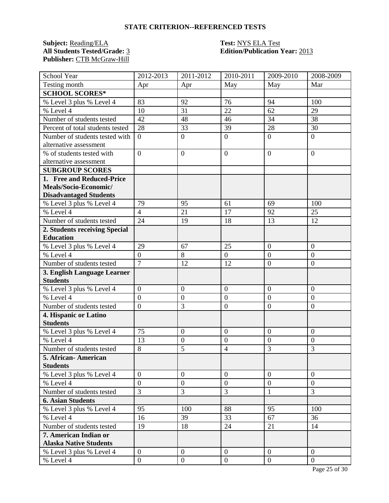**Subject:** <u>Reading/ELA</u> **Test: NYS ELA Test**<br> **All Students Tested/Grade:** 3 **Edition/Publication** Publisher: CTB McGraw-Hill

# **Edition/Publication Year: 2013**

| School Year                      | 2012-2013        | 2011-2012        | 2010-2011      | 2009-2010        | 2008-2009        |
|----------------------------------|------------------|------------------|----------------|------------------|------------------|
| Testing month                    | Apr              | Apr              | May            | May              | Mar              |
| <b>SCHOOL SCORES*</b>            |                  |                  |                |                  |                  |
| % Level 3 plus % Level 4         | 83               | 92               | 76             | 94               | 100              |
| % Level 4                        | 10               | 31               | 22             | 62               | 29               |
| Number of students tested        | 42               | 48               | 46             | 34               | 38               |
| Percent of total students tested | 28               | 33               | 39             | 28               | 30               |
| Number of students tested with   | $\overline{0}$   | $\overline{0}$   | $\mathbf{0}$   | $\overline{0}$   | $\overline{0}$   |
| alternative assessment           |                  |                  |                |                  |                  |
| % of students tested with        | $\overline{0}$   | $\overline{0}$   | $\overline{0}$ | $\overline{0}$   | $\overline{0}$   |
| alternative assessment           |                  |                  |                |                  |                  |
| <b>SUBGROUP SCORES</b>           |                  |                  |                |                  |                  |
| 1. Free and Reduced-Price        |                  |                  |                |                  |                  |
| Meals/Socio-Economic/            |                  |                  |                |                  |                  |
| <b>Disadvantaged Students</b>    |                  |                  |                |                  |                  |
| % Level 3 plus % Level 4         | 79               | 95               | 61             | 69               | 100              |
| % Level 4                        | $\overline{4}$   | 21               | 17             | 92               | 25               |
| Number of students tested        | 24               | 19               | 18             | 13               | 12               |
| 2. Students receiving Special    |                  |                  |                |                  |                  |
| <b>Education</b>                 |                  |                  |                |                  |                  |
| % Level 3 plus % Level 4         | 29               | 67               | 25             | $\overline{0}$   | $\overline{0}$   |
| % Level 4                        | $\overline{0}$   | $\overline{8}$   | $\mathbf{0}$   | $\overline{0}$   | $\overline{0}$   |
| Number of students tested        | $\overline{7}$   | 12               | 12             | $\boldsymbol{0}$ | $\boldsymbol{0}$ |
| 3. English Language Learner      |                  |                  |                |                  |                  |
| <b>Students</b>                  |                  |                  |                |                  |                  |
| % Level 3 plus % Level 4         | $\overline{0}$   | $\overline{0}$   | $\overline{0}$ | $\overline{0}$   | $\overline{0}$   |
| % Level 4                        | $\overline{0}$   | $\boldsymbol{0}$ | $\overline{0}$ | $\overline{0}$   | $\overline{0}$   |
| Number of students tested        | $\overline{0}$   | 3                | $\overline{0}$ | $\boldsymbol{0}$ | $\boldsymbol{0}$ |
| 4. Hispanic or Latino            |                  |                  |                |                  |                  |
| <b>Students</b>                  |                  |                  |                |                  |                  |
| % Level 3 plus % Level 4         | 75               | $\boldsymbol{0}$ | $\overline{0}$ | $\overline{0}$   | $\overline{0}$   |
| % Level 4                        | 13               | $\boldsymbol{0}$ | $\overline{0}$ | $\boldsymbol{0}$ | $\overline{0}$   |
| Number of students tested        | 8                | 5                | $\overline{4}$ | $\overline{3}$   | 3                |
| 5. African- American             |                  |                  |                |                  |                  |
| <b>Students</b>                  |                  |                  |                |                  |                  |
| % Level 3 plus % Level 4         | $\overline{0}$   | $\overline{0}$   | $\overline{0}$ | $\theta$         | $\overline{0}$   |
| % Level 4                        | $\overline{0}$   | $\boldsymbol{0}$ | $\overline{0}$ | $\overline{0}$   | $\overline{0}$   |
| Number of students tested        | $\overline{3}$   | 3                | $\overline{3}$ | 1                | 3                |
| <b>6. Asian Students</b>         |                  |                  |                |                  |                  |
| % Level 3 plus % Level 4         | 95               | 100              | 88             | 95               | 100              |
| % Level 4                        | 16               | 39               | 33             | 67               | 36               |
| Number of students tested        | 19               | 18               | 24             | 21               | 14               |
| 7. American Indian or            |                  |                  |                |                  |                  |
| <b>Alaska Native Students</b>    |                  |                  |                |                  |                  |
| % Level 3 plus % Level 4         | $\mathbf{0}$     | $\mathbf{0}$     | $\overline{0}$ | $\overline{0}$   | $\overline{0}$   |
| % Level 4                        | $\boldsymbol{0}$ | $\boldsymbol{0}$ | $\mathbf{0}$   | $\overline{0}$   | $\mathbf{0}$     |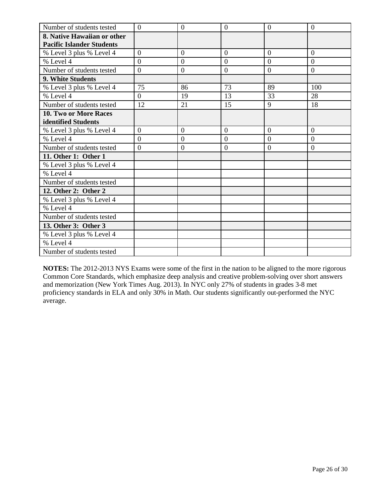| Number of students tested        | $\theta$       | $\theta$       | $\overline{0}$ | $\overline{0}$ | $\overline{0}$ |
|----------------------------------|----------------|----------------|----------------|----------------|----------------|
| 8. Native Hawaiian or other      |                |                |                |                |                |
| <b>Pacific Islander Students</b> |                |                |                |                |                |
| % Level 3 plus % Level 4         | $\overline{0}$ | $\mathbf{0}$   | $\overline{0}$ | $\overline{0}$ | $\overline{0}$ |
| % Level 4                        | $\Omega$       | $\theta$       | $\Omega$       | $\theta$       | $\Omega$       |
| Number of students tested        | $\overline{0}$ | $\overline{0}$ | $\mathbf{0}$   | $\overline{0}$ | $\overline{0}$ |
| 9. White Students                |                |                |                |                |                |
| % Level 3 plus % Level 4         | 75             | 86             | 73             | 89             | 100            |
| % Level 4                        | $\Omega$       | 19             | 13             | 33             | 28             |
| Number of students tested        | 12             | 21             | 15             | 9              | 18             |
| 10. Two or More Races            |                |                |                |                |                |
| identified Students              |                |                |                |                |                |
| % Level 3 plus % Level 4         | $\overline{0}$ | $\theta$       | $\overline{0}$ | $\overline{0}$ | $\overline{0}$ |
| % Level 4                        | $\theta$       | $\overline{0}$ | $\overline{0}$ | $\overline{0}$ | $\Omega$       |
| Number of students tested        | $\overline{0}$ | $\theta$       | $\overline{0}$ | $\overline{0}$ | $\overline{0}$ |
| 11. Other 1: Other 1             |                |                |                |                |                |
| % Level 3 plus % Level 4         |                |                |                |                |                |
| % Level 4                        |                |                |                |                |                |
| Number of students tested        |                |                |                |                |                |
| 12. Other 2: Other 2             |                |                |                |                |                |
| % Level 3 plus % Level 4         |                |                |                |                |                |
| % Level 4                        |                |                |                |                |                |
| Number of students tested        |                |                |                |                |                |
| 13. Other 3: Other 3             |                |                |                |                |                |
| % Level 3 plus % Level 4         |                |                |                |                |                |
| % Level 4                        |                |                |                |                |                |
| Number of students tested        |                |                |                |                |                |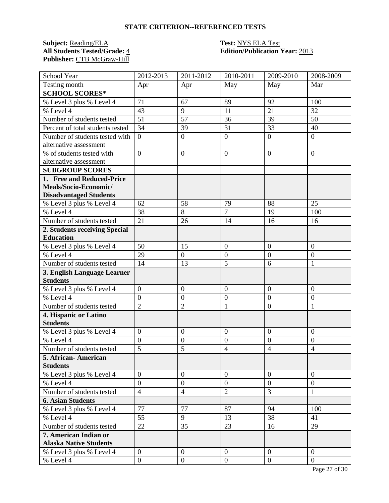**Subject:** <u>Reading/ELA</u> **Test: NYS ELA Test**<br> **All Students Tested/Grade:** 4 **Edition/Publication** Publisher: CTB McGraw-Hill

# **All Students Tested/Grade:** 4 **Edition/Publication Year:** 2013

| School Year                      | 2012-2013        | 2011-2012        | 2010-2011        | 2009-2010        | 2008-2009        |
|----------------------------------|------------------|------------------|------------------|------------------|------------------|
| Testing month                    | Apr              | Apr              | May              | May              | Mar              |
| <b>SCHOOL SCORES*</b>            |                  |                  |                  |                  |                  |
| % Level 3 plus % Level 4         | 71               | 67               | 89               | 92               | 100              |
| % Level 4                        | 43               | 9                | 11               | 21               | 32               |
| Number of students tested        | 51               | 57               | 36               | 39               | 50               |
| Percent of total students tested | 34               | 39               | 31               | 33               | 40               |
| Number of students tested with   | $\overline{0}$   | $\overline{0}$   | $\mathbf{0}$     | $\overline{0}$   | $\overline{0}$   |
| alternative assessment           |                  |                  |                  |                  |                  |
| % of students tested with        | $\overline{0}$   | $\overline{0}$   | $\overline{0}$   | $\overline{0}$   | $\overline{0}$   |
| alternative assessment           |                  |                  |                  |                  |                  |
| <b>SUBGROUP SCORES</b>           |                  |                  |                  |                  |                  |
| 1. Free and Reduced-Price        |                  |                  |                  |                  |                  |
| Meals/Socio-Economic/            |                  |                  |                  |                  |                  |
| <b>Disadvantaged Students</b>    |                  |                  |                  |                  |                  |
| % Level 3 plus % Level 4         | 62               | 58               | 79               | 88               | 25               |
| % Level 4                        | $\overline{38}$  | 8                | $\overline{7}$   | 19               | 100              |
| Number of students tested        | 21               | 26               | 14               | 16               | 16               |
| 2. Students receiving Special    |                  |                  |                  |                  |                  |
| <b>Education</b>                 |                  |                  |                  |                  |                  |
| % Level 3 plus % Level 4         | 50               | 15               | $\boldsymbol{0}$ | $\overline{0}$   | $\boldsymbol{0}$ |
| $%$ Level 4                      | 29               | $\overline{0}$   | $\boldsymbol{0}$ | $\overline{0}$   | $\overline{0}$   |
| Number of students tested        | 14               | 13               | 5                | 6                | 1                |
| 3. English Language Learner      |                  |                  |                  |                  |                  |
| <b>Students</b>                  |                  |                  |                  |                  |                  |
| % Level 3 plus % Level 4         | $\overline{0}$   | $\overline{0}$   | $\overline{0}$   | $\overline{0}$   | $\overline{0}$   |
| % Level 4                        | $\overline{0}$   | $\boldsymbol{0}$ | $\overline{0}$   | $\overline{0}$   | $\boldsymbol{0}$ |
| Number of students tested        | $\overline{2}$   | $\overline{2}$   | $\mathbf{1}$     | $\overline{0}$   | 1                |
| 4. Hispanic or Latino            |                  |                  |                  |                  |                  |
| <b>Students</b>                  |                  |                  |                  |                  |                  |
| % Level 3 plus % Level 4         | $\boldsymbol{0}$ | $\boldsymbol{0}$ | $\overline{0}$   | $\overline{0}$   | $\overline{0}$   |
| % Level 4                        | $\overline{0}$   | $\boldsymbol{0}$ | $\overline{0}$   | $\boldsymbol{0}$ | $\overline{0}$   |
| Number of students tested        | 5                | 5                | $\overline{4}$   | $\overline{4}$   | $\overline{4}$   |
| 5. African- American             |                  |                  |                  |                  |                  |
| <b>Students</b>                  |                  |                  |                  |                  |                  |
| % Level 3 plus % Level 4         | $\overline{0}$   | $\overline{0}$   | $\overline{0}$   | $\theta$         | $\overline{0}$   |
| % Level 4                        | $\overline{0}$   | $\theta$         | $\overline{0}$   | $\overline{0}$   | $\overline{0}$   |
| Number of students tested        | $\overline{4}$   | $\overline{4}$   | $\overline{2}$   | $\overline{3}$   | $\mathbf{1}$     |
| <b>6. Asian Students</b>         |                  |                  |                  |                  |                  |
| % Level 3 plus % Level 4         | 77               | 77               | 87               | 94               | 100              |
| % Level 4                        | 55               | 9                | 13               | 38               | 41               |
| Number of students tested        | 22               | 35               | 23               | 16               | 29               |
| 7. American Indian or            |                  |                  |                  |                  |                  |
| <b>Alaska Native Students</b>    |                  |                  |                  |                  |                  |
| % Level 3 plus % Level 4         | $\mathbf{0}$     | $\mathbf{0}$     | $\overline{0}$   | $\overline{0}$   | $\overline{0}$   |
| % Level 4                        | $\boldsymbol{0}$ | $\boldsymbol{0}$ | $\mathbf{0}$     | $\overline{0}$   | $\mathbf{0}$     |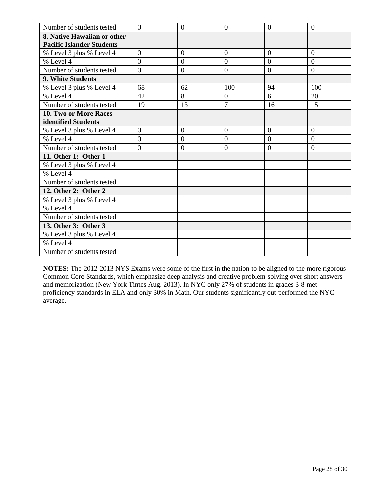| Number of students tested        | $\theta$       | $\theta$       | $\overline{0}$   | $\overline{0}$ | $\overline{0}$ |
|----------------------------------|----------------|----------------|------------------|----------------|----------------|
| 8. Native Hawaiian or other      |                |                |                  |                |                |
| <b>Pacific Islander Students</b> |                |                |                  |                |                |
| % Level 3 plus % Level 4         | $\overline{0}$ | $\mathbf{0}$   | $\overline{0}$   | $\overline{0}$ | $\overline{0}$ |
| % Level 4                        | $\Omega$       | $\theta$       | $\Omega$         | $\theta$       | $\Omega$       |
| Number of students tested        | $\overline{0}$ | $\overline{0}$ | $\boldsymbol{0}$ | $\overline{0}$ | $\overline{0}$ |
| 9. White Students                |                |                |                  |                |                |
| % Level 3 plus % Level 4         | 68             | 62             | 100              | 94             | 100            |
| % Level 4                        | 42             | 8              | $\overline{0}$   | 6              | 20             |
| Number of students tested        | 19             | 13             | $\overline{7}$   | 16             | 15             |
| 10. Two or More Races            |                |                |                  |                |                |
| identified Students              |                |                |                  |                |                |
| % Level 3 plus % Level 4         | $\overline{0}$ | $\theta$       | $\overline{0}$   | $\overline{0}$ | $\overline{0}$ |
| % Level 4                        | $\theta$       | $\overline{0}$ | $\overline{0}$   | $\overline{0}$ | $\Omega$       |
| Number of students tested        | $\overline{0}$ | $\theta$       | $\overline{0}$   | $\overline{0}$ | $\overline{0}$ |
| 11. Other 1: Other 1             |                |                |                  |                |                |
| % Level 3 plus % Level 4         |                |                |                  |                |                |
| % Level 4                        |                |                |                  |                |                |
| Number of students tested        |                |                |                  |                |                |
| 12. Other 2: Other 2             |                |                |                  |                |                |
| % Level 3 plus % Level 4         |                |                |                  |                |                |
| % Level 4                        |                |                |                  |                |                |
| Number of students tested        |                |                |                  |                |                |
| 13. Other 3: Other 3             |                |                |                  |                |                |
| % Level 3 plus % Level 4         |                |                |                  |                |                |
| % Level 4                        |                |                |                  |                |                |
| Number of students tested        |                |                |                  |                |                |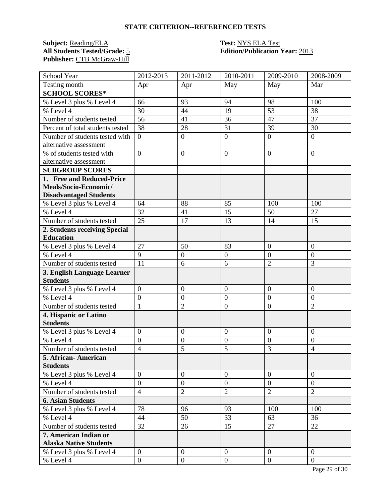**Subject:** <u>Reading/ELA</u> **Test: NYS ELA Test**<br> **All Students Tested/Grade:** 5 **Edition/Publication** Publisher: CTB McGraw-Hill

# **Edition/Publication Year: 2013**

| School Year                      | 2012-2013        | $2011 - 2012$    | 2010-2011      | 2009-2010        | 2008-2009        |
|----------------------------------|------------------|------------------|----------------|------------------|------------------|
| Testing month                    | Apr              | Apr              | May            | May              | Mar              |
| <b>SCHOOL SCORES*</b>            |                  |                  |                |                  |                  |
| % Level 3 plus % Level 4         | 66               | 93               | 94             | 98               | 100              |
| % Level 4                        | 30               | 44               | 19             | 53               | 38               |
| Number of students tested        | 56               | 41               | 36             | 47               | 37               |
| Percent of total students tested | 38               | 28               | 31             | 39               | 30               |
| Number of students tested with   | $\theta$         | $\overline{0}$   | $\mathbf{0}$   | $\overline{0}$   | $\overline{0}$   |
| alternative assessment           |                  |                  |                |                  |                  |
| % of students tested with        | $\overline{0}$   | $\overline{0}$   | $\overline{0}$ | $\overline{0}$   | $\overline{0}$   |
| alternative assessment           |                  |                  |                |                  |                  |
| <b>SUBGROUP SCORES</b>           |                  |                  |                |                  |                  |
| 1. Free and Reduced-Price        |                  |                  |                |                  |                  |
| Meals/Socio-Economic/            |                  |                  |                |                  |                  |
| <b>Disadvantaged Students</b>    |                  |                  |                |                  |                  |
| % Level 3 plus % Level 4         | 64               | 88               | 85             | 100              | 100              |
| % Level 4                        | 32               | 41               | 15             | 50               | 27               |
| Number of students tested        | 25               | 17               | 13             | 14               | 15               |
| 2. Students receiving Special    |                  |                  |                |                  |                  |
| <b>Education</b>                 |                  |                  |                |                  |                  |
| % Level 3 plus % Level 4         | 27               | 50               | 83             | $\overline{0}$   | $\boldsymbol{0}$ |
| % Level 4                        | $\overline{9}$   | $\overline{0}$   | $\mathbf{0}$   | $\overline{0}$   | $\overline{0}$   |
| Number of students tested        | 11               | 6                | 6              | $\overline{2}$   | 3                |
| 3. English Language Learner      |                  |                  |                |                  |                  |
| <b>Students</b>                  |                  |                  |                |                  |                  |
| % Level 3 plus % Level 4         | $\overline{0}$   | $\overline{0}$   | $\overline{0}$ | $\overline{0}$   | $\overline{0}$   |
| % Level 4                        | $\overline{0}$   | $\boldsymbol{0}$ | $\overline{0}$ | $\overline{0}$   | $\boldsymbol{0}$ |
| Number of students tested        | $\mathbf{1}$     | $\overline{2}$   | $\overline{0}$ | $\boldsymbol{0}$ | $\overline{2}$   |
| 4. Hispanic or Latino            |                  |                  |                |                  |                  |
| <b>Students</b>                  |                  |                  |                |                  |                  |
| % Level 3 plus % Level 4         | $\boldsymbol{0}$ | $\boldsymbol{0}$ | $\overline{0}$ | $\overline{0}$   | $\overline{0}$   |
| % Level 4                        | $\overline{0}$   | $\boldsymbol{0}$ | $\overline{0}$ | $\boldsymbol{0}$ | $\overline{0}$   |
| Number of students tested        | $\overline{4}$   | 5                | 5              | $\overline{3}$   | $\overline{4}$   |
| 5. African- American             |                  |                  |                |                  |                  |
| <b>Students</b>                  |                  |                  |                |                  |                  |
| % Level 3 plus % Level 4         | $\overline{0}$   | $\overline{0}$   | $\overline{0}$ | $\theta$         | $\overline{0}$   |
| % Level 4                        | $\overline{0}$   | $\overline{0}$   | $\overline{0}$ | $\overline{0}$   | $\overline{0}$   |
| Number of students tested        | $\overline{4}$   | $\overline{2}$   | $\overline{2}$ | $\overline{2}$   | $\overline{2}$   |
| <b>6. Asian Students</b>         |                  |                  |                |                  |                  |
| % Level 3 plus % Level 4         | 78               | 96               | 93             | 100              | 100              |
| % Level 4                        | 44               | 50               | 33             | 63               | 36               |
| Number of students tested        | 32               | 26               | 15             | 27               | 22               |
| 7. American Indian or            |                  |                  |                |                  |                  |
| <b>Alaska Native Students</b>    |                  |                  |                |                  |                  |
| % Level 3 plus % Level 4         | $\mathbf{0}$     | $\mathbf{0}$     | $\overline{0}$ | $\overline{0}$   | $\overline{0}$   |
| % Level 4                        | $\boldsymbol{0}$ | $\boldsymbol{0}$ | $\mathbf{0}$   | $\overline{0}$   | $\mathbf{0}$     |